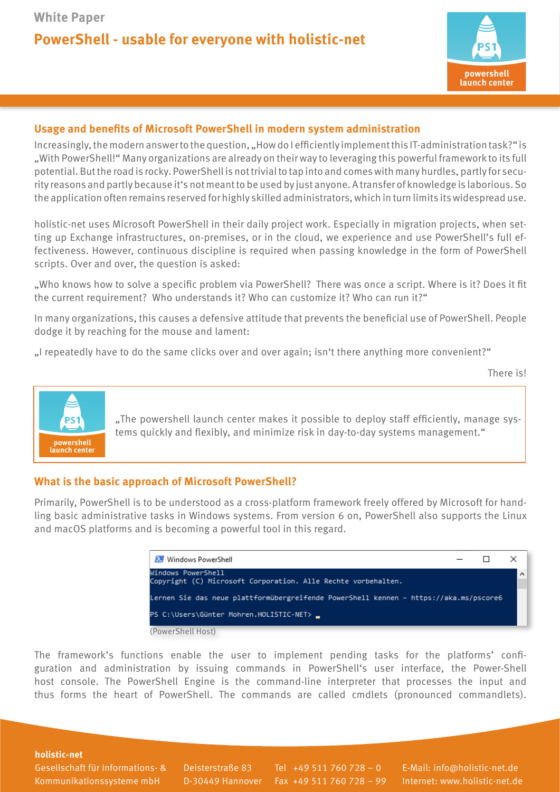## **PowerShell - usable for everyone with holistic-net**



## **Usage and benefits of Microsoft PowerShell in modern system administration**

Increasingly, the modern answer to the question, "How do I efficiently implement this IT-administration task?" is "With PowerShell!" Many organizations are already on their way to leveraging this powerful framework to its full potential. But the road is rocky. PowerShell is not trivial to tap into and comes with many hurdles, partly for security reasons and partly because it's not meant to be used by just anyone. A transfer of knowledge is laborious. So the application often remains reserved for highly skilled administrators, which in turn limits its widespread use.

holistic-net uses Microsoft PowerShell in their daily project work. Especially in migration projects, when setting up Exchange infrastructures, on-premises, or in the cloud, we experience and use PowerShell's full effectiveness. However, continuous discipline is required when passing knowledge in the form of PowerShell scripts. Over and over, the question is asked:

"Who knows how to solve a specific problem via PowerShell? There was once a script. Where is it? Does it fit the current requirement? Who understands it? Who can customize it? Who can run it?"

In many organizations, this causes a defensive attitude that prevents the beneficial use of PowerShell. People dodge it by reaching for the mouse and lament:

"I repeatedly have to do the same clicks over and over again; isn't there anything more convenient?"

There is!



.The powershell launch center makes it possible to deploy staff efficiently, manage systems quickly and flexibly, and minimize risk in day-to-day systems management."

## **What is the basic approach of Microsoft PowerShell?**

Primarily, PowerShell is to be understood as a cross-platform framework freely offered by Microsoft for handling basic administrative tasks in Windows systems. From version 6 on, PowerShell also supports the Linux and macOS platforms and is becoming a powerful tool in this regard.



The framework's functions enable the user to implement pending tasks for the platforms' configuration and administration by issuing commands in PowerShell's user interface, the Power-Shell host console. The PowerShell Engine is the command-line interpreter that processes the input and thus forms the heart of PowerShell. The commands are called cmdlets (pronounced commandlets).

**holistic-net** 

Gesellschaft für Informations- & Kommunikationssysteme mbH

Deisterstraße 83 D-30449 Hannover

Tel +49 511 760 728 – 0 Fax +49 511 760 728 – 99

E-Mail: info@holistic-net.de Internet: www.holistic-net.de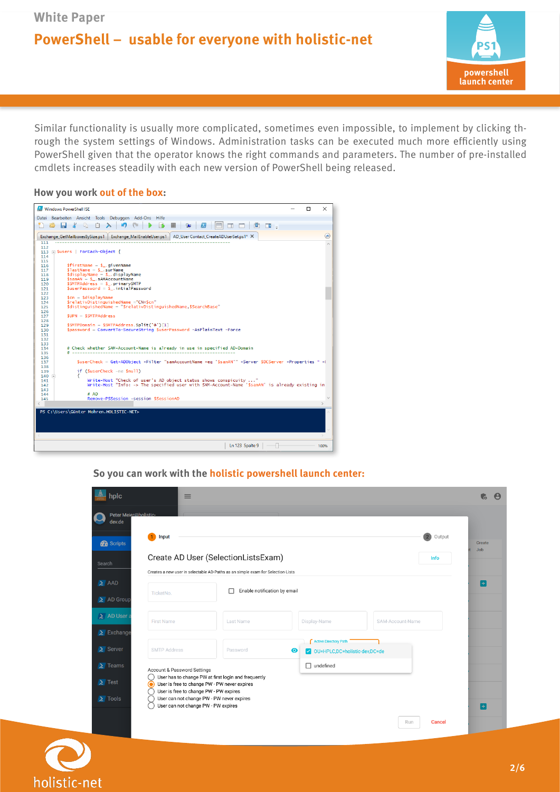**White Paper**

## **PowerShell – usable for everyone with holistic-net**



Similar functionality is usually more complicated, sometimes even impossible, to implement by clicking through the system settings of Windows. Administration tasks can be executed much more efficiently using PowerShell given that the operator knows the right commands and parameters. The number of pre-installed cmdlets increases steadily with each new version of PowerShell being released.

#### **How you work out of the box:**



### **So you can work with the holistic powershell launch center:**

| Input<br>$\mathbf{1}$                                                                                                  |                                   |                                                                            | $\overline{2}$<br>Output | Create<br><b>Job</b> |
|------------------------------------------------------------------------------------------------------------------------|-----------------------------------|----------------------------------------------------------------------------|--------------------------|----------------------|
| Create AD User (SelectionListsExam)<br>Creates a new user in selectable AD-Paths as an simple exam for Selection-Lists |                                   |                                                                            |                          |                      |
| TicketNo.                                                                                                              | Enable notification by email<br>г |                                                                            |                          | B                    |
| <b>First Name</b>                                                                                                      | Last Name                         | Display-Name                                                               | SAM-Account-Name         |                      |
| <b>SMTP Address</b>                                                                                                    | Password                          | <b>Active Directory Path</b><br>$\bullet$<br>OU=HPLC,DC=holistic-dev,DC=de |                          |                      |
|                                                                                                                        |                                   | $\Box$ undefined                                                           |                          |                      |

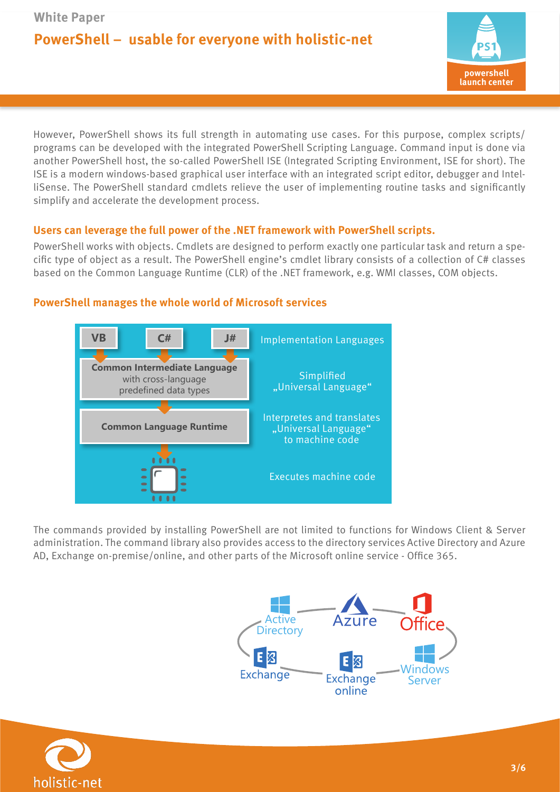# **PowerShell – usable for everyone with holistic-net**



However, PowerShell shows its full strength in automating use cases. For this purpose, complex scripts/ programs can be developed with the integrated PowerShell Scripting Language. Command input is done via another PowerShell host, the so-called PowerShell ISE (Integrated Scripting Environment, ISE for short). The ISE is a modern windows-based graphical user interface with an integrated script editor, debugger and IntelliSense. The PowerShell standard cmdlets relieve the user of implementing routine tasks and significantly simplify and accelerate the development process.

## **Users can leverage the full power of the .NET framework with PowerShell scripts.**

PowerShell works with objects. Cmdlets are designed to perform exactly one particular task and return a specific type of object as a result. The PowerShell engine's cmdlet library consists of a collection of C# classes based on the Common Language Runtime (CLR) of the .NET framework, e.g. WMI classes, COM objects.



## **PowerShell manages the whole world of Microsoft services**

The commands provided by installing PowerShell are not limited to functions for Windows Client & Server administration. The command library also provides access to the directory services Active Directory and Azure AD, Exchange on-premise/online, and other parts of the Microsoft online service - Office 365.



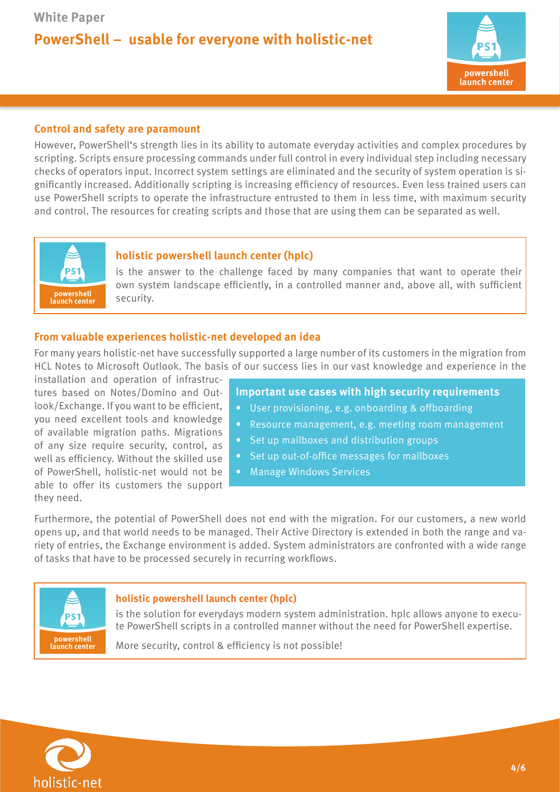

## **Control and safety are paramount**

However, PowerShell's strength lies in its ability to automate everyday activities and complex procedures by scripting. Scripts ensure processing commands under full control in every individual step including necessary checks of operators input. Incorrect system settings are eliminated and the security of system operation is significantly increased. Additionally scripting is increasing efficiency of resources. Even less trained users can use PowerShell scripts to operate the infrastructure entrusted to them in less time, with maximum security and control. The resources for creating scripts and those that are using them can be separated as well.



## **holistic powershell launch center (hplc)**

is the answer to the challenge faced by many companies that want to operate their own system landscape efficiently, in a controlled manner and, above all, with sufficient

### **From valuable experiences holistic-net developed an idea**

For many years holistic-net have successfully supported a large number of its customers in the migration from HCL Notes to Microsoft Outlook. The basis of our success lies in our vast knowledge and experience in the

installation and operation of infrastructures based on Notes/Domino and Outlook/Exchange. If you want to be efficient, you need excellent tools and knowledge of available migration paths. Migrations of any size require security, control, as well as efficiency. Without the skilled use of PowerShell, holistic-net would not be able to offer its customers the support they need.

- **Important use cases with high security requirements**
- User provisioning, e.g. onboarding & offboarding
- Resource management, e.g. meeting room management
- Set up mailboxes and distribution groups
- Set up out-of-office messages for mailboxes
- Manage Windows Services

Furthermore, the potential of PowerShell does not end with the migration. For our customers, a new world opens up, and that world needs to be managed. Their Active Directory is extended in both the range and variety of entries, the Exchange environment is added. System administrators are confronted with a wide range of tasks that have to be processed securely in recurring workflows.



#### **holistic powershell launch center (hplc)**

is the solution for everydays modern system administration. hplc allows anyone to execute PowerShell scripts in a controlled manner without the need for PowerShell expertise.

powershell<br>**powershell More** security, control & efficiency is not possible!

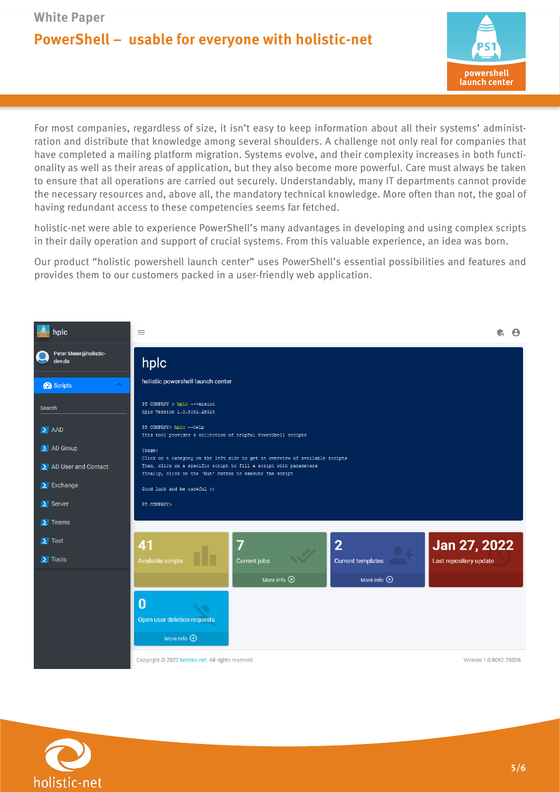# **PowerShell – usable for everyone with holistic-net**



For most companies, regardless of size, it isn't easy to keep information about all their systems' administration and distribute that knowledge among several shoulders. A challenge not only real for companies that have completed a mailing platform migration. Systems evolve, and their complexity increases in both functionality as well as their areas of application, but they also become more powerful. Care must always be taken to ensure that all operations are carried out securely. Understandably, many IT departments cannot provide the necessary resources and, above all, the mandatory technical knowledge. More often than not, the goal of having redundant access to these competencies seems far fetched.

holistic-net were able to experience PowerShell's many advantages in developing and using complex scripts in their daily operation and support of crucial systems. From this valuable experience, an idea was born.

Our product "holistic powershell launch center" uses PowerShell's essential possibilities and features and provides them to our customers packed in a user-friendly web application.